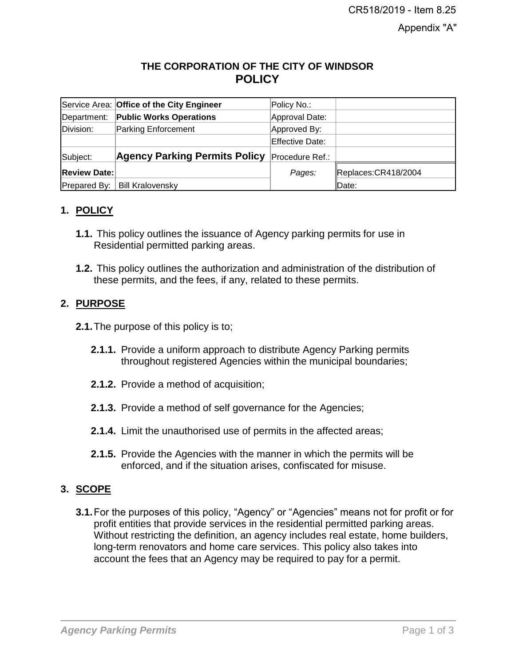# **THE CORPORATION OF THE CITY OF WINDSOR POLICY**

|                     | Service Area: Office of the City Engineer | Policy No.:     |                     |
|---------------------|-------------------------------------------|-----------------|---------------------|
| Department:         | <b>Public Works Operations</b>            | Approval Date:  |                     |
| Division:           | <b>Parking Enforcement</b>                | Approved By:    |                     |
|                     |                                           | Effective Date: |                     |
| Subject:            | <b>Agency Parking Permits Policy</b>      | Procedure Ref.: |                     |
| <b>Review Date:</b> |                                           | Pages:          | Replaces:CR418/2004 |
| Prepared By:        | <b>Bill Kralovensky</b>                   |                 | Date:               |

# **1. POLICY**

- **1.1.** This policy outlines the issuance of Agency parking permits for use in Residential permitted parking areas.
- **1.2.** This policy outlines the authorization and administration of the distribution of these permits, and the fees, if any, related to these permits.

# **2. PURPOSE**

- **2.1.**The purpose of this policy is to;
	- **2.1.1.** Provide a uniform approach to distribute Agency Parking permits throughout registered Agencies within the municipal boundaries;
	- **2.1.2.** Provide a method of acquisition;
	- **2.1.3.** Provide a method of self governance for the Agencies;
	- **2.1.4.** Limit the unauthorised use of permits in the affected areas;
	- **2.1.5.** Provide the Agencies with the manner in which the permits will be enforced, and if the situation arises, confiscated for misuse.

### **3. SCOPE**

**3.1.**For the purposes of this policy, "Agency" or "Agencies" means not for profit or for profit entities that provide services in the residential permitted parking areas. Without restricting the definition, an agency includes real estate, home builders, long-term renovators and home care services. This policy also takes into account the fees that an Agency may be required to pay for a permit.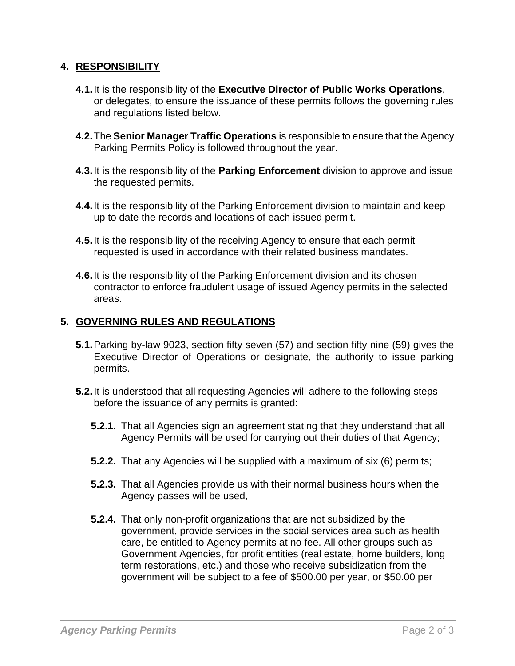### **4. RESPONSIBILITY**

- **4.1.**It is the responsibility of the **Executive Director of Public Works Operations**, or delegates, to ensure the issuance of these permits follows the governing rules and regulations listed below.
- **4.2.**The **Senior Manager Traffic Operations** is responsible to ensure that the Agency Parking Permits Policy is followed throughout the year.
- **4.3.**It is the responsibility of the **Parking Enforcement** division to approve and issue the requested permits.
- **4.4.**It is the responsibility of the Parking Enforcement division to maintain and keep up to date the records and locations of each issued permit.
- **4.5.**It is the responsibility of the receiving Agency to ensure that each permit requested is used in accordance with their related business mandates.
- **4.6.**It is the responsibility of the Parking Enforcement division and its chosen contractor to enforce fraudulent usage of issued Agency permits in the selected areas.

#### **5. GOVERNING RULES AND REGULATIONS**

- **5.1.**Parking by-law 9023, section fifty seven (57) and section fifty nine (59) gives the Executive Director of Operations or designate, the authority to issue parking permits.
- **5.2.**It is understood that all requesting Agencies will adhere to the following steps before the issuance of any permits is granted:
	- **5.2.1.** That all Agencies sign an agreement stating that they understand that all Agency Permits will be used for carrying out their duties of that Agency;
	- **5.2.2.** That any Agencies will be supplied with a maximum of six (6) permits;
	- **5.2.3.** That all Agencies provide us with their normal business hours when the Agency passes will be used,
	- **5.2.4.** That only non-profit organizations that are not subsidized by the government, provide services in the social services area such as health care, be entitled to Agency permits at no fee. All other groups such as Government Agencies, for profit entities (real estate, home builders, long term restorations, etc.) and those who receive subsidization from the government will be subject to a fee of \$500.00 per year, or \$50.00 per